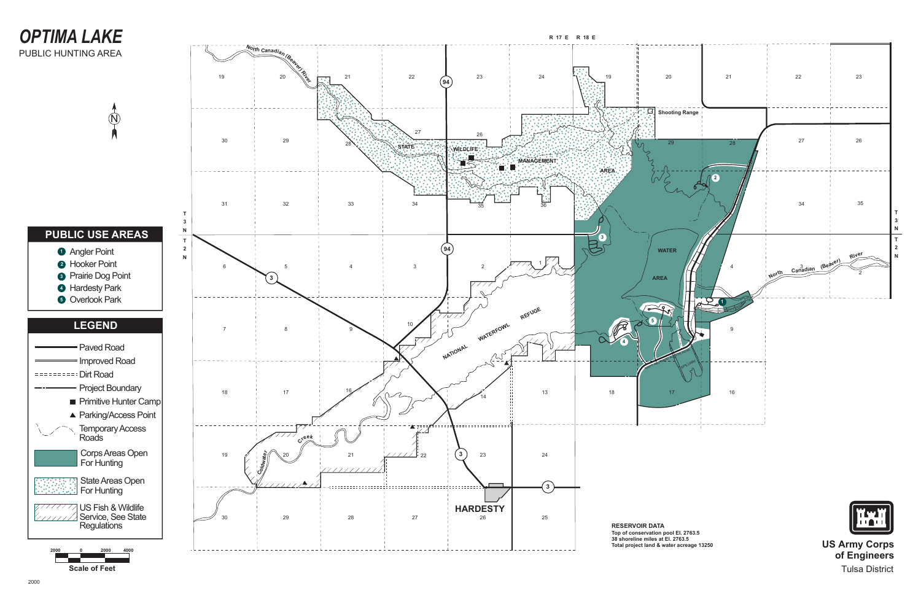

**of Engineers** Tulsa District

## *OPTIMA LAKE* PUBLIC HUNTING AREA

**Scale of Feet**